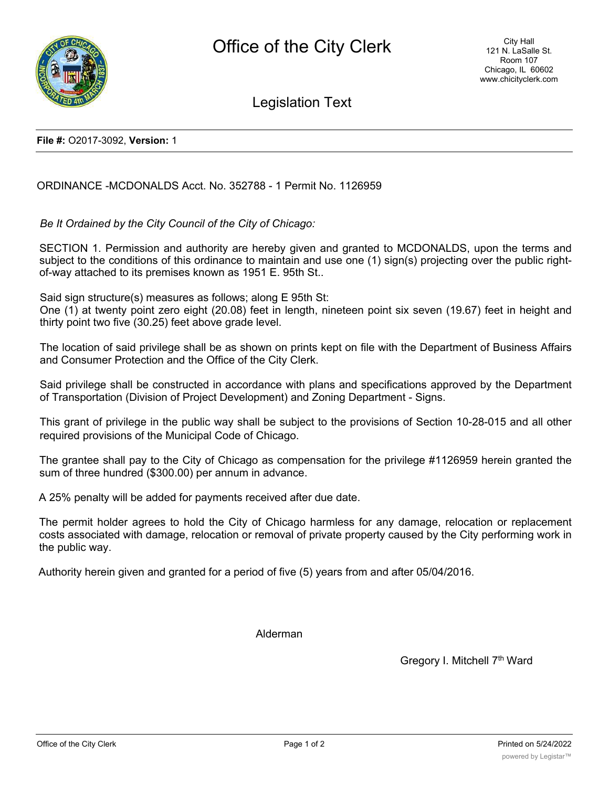

Legislation Text

**File #:** O2017-3092, **Version:** 1

ORDINANCE -MCDONALDS Acct. No. 352788 - 1 Permit No. 1126959

*Be It Ordained by the City Council of the City of Chicago:*

SECTION 1. Permission and authority are hereby given and granted to MCDONALDS, upon the terms and subject to the conditions of this ordinance to maintain and use one (1) sign(s) projecting over the public rightof-way attached to its premises known as 1951 E. 95th St..

Said sign structure(s) measures as follows; along E 95th St:

One (1) at twenty point zero eight (20.08) feet in length, nineteen point six seven (19.67) feet in height and thirty point two five (30.25) feet above grade level.

The location of said privilege shall be as shown on prints kept on file with the Department of Business Affairs and Consumer Protection and the Office of the City Clerk.

Said privilege shall be constructed in accordance with plans and specifications approved by the Department of Transportation (Division of Project Development) and Zoning Department - Signs.

This grant of privilege in the public way shall be subject to the provisions of Section 10-28-015 and all other required provisions of the Municipal Code of Chicago.

The grantee shall pay to the City of Chicago as compensation for the privilege #1126959 herein granted the sum of three hundred (\$300.00) per annum in advance.

A 25% penalty will be added for payments received after due date.

The permit holder agrees to hold the City of Chicago harmless for any damage, relocation or replacement costs associated with damage, relocation or removal of private property caused by the City performing work in the public way.

Authority herein given and granted for a period of five (5) years from and after 05/04/2016.

Alderman

Gregory I. Mitchell 7<sup>th</sup> Ward